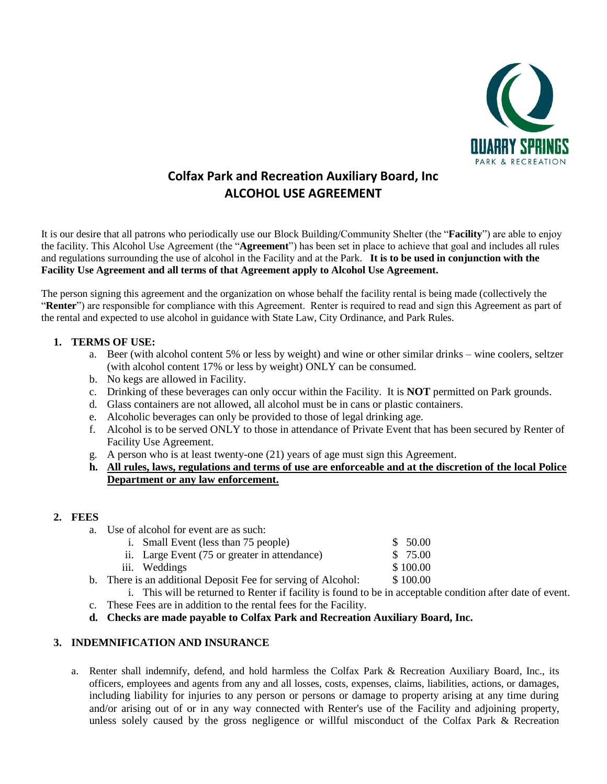

# **Colfax Park and Recreation Auxiliary Board, Inc ALCOHOL USE AGREEMENT**

It is our desire that all patrons who periodically use our Block Building/Community Shelter (the "**Facility**") are able to enjoy the facility. This Alcohol Use Agreement (the "**Agreement**") has been set in place to achieve that goal and includes all rules and regulations surrounding the use of alcohol in the Facility and at the Park. **It is to be used in conjunction with the Facility Use Agreement and all terms of that Agreement apply to Alcohol Use Agreement.** 

The person signing this agreement and the organization on whose behalf the facility rental is being made (collectively the "**Renter**") are responsible for compliance with this Agreement. Renter is required to read and sign this Agreement as part of the rental and expected to use alcohol in guidance with State Law, City Ordinance, and Park Rules.

#### **1. TERMS OF USE:**

- a. Beer (with alcohol content 5% or less by weight) and wine or other similar drinks wine coolers, seltzer (with alcohol content 17% or less by weight) ONLY can be consumed.
- b. No kegs are allowed in Facility.
- c. Drinking of these beverages can only occur within the Facility. It is **NOT** permitted on Park grounds.
- d. Glass containers are not allowed, all alcohol must be in cans or plastic containers.
- e. Alcoholic beverages can only be provided to those of legal drinking age.
- f. Alcohol is to be served ONLY to those in attendance of Private Event that has been secured by Renter of Facility Use Agreement.
- g. A person who is at least twenty-one (21) years of age must sign this Agreement.
- **h. All rules, laws, regulations and terms of use are enforceable and at the discretion of the local Police Department or any law enforcement.**

#### **2. FEES**

a. Use of alcohol for event are as such:

| i. Small Event (less than 75 people)          | \$ 50.00 |
|-----------------------------------------------|----------|
| ii. Large Event (75 or greater in attendance) | \$ 75.00 |
| iii. Weddings                                 | \$100.00 |

- b. There is an additional Deposit Fee for serving of Alcohol: \$100.00
- i. This will be returned to Renter if facility is found to be in acceptable condition after date of event. c. These Fees are in addition to the rental fees for the Facility.
- **d. Checks are made payable to Colfax Park and Recreation Auxiliary Board, Inc.**

#### **3. INDEMNIFICATION AND INSURANCE**

a. Renter shall indemnify, defend, and hold harmless the Colfax Park & Recreation Auxiliary Board, Inc., its officers, employees and agents from any and all losses, costs, expenses, claims, liabilities, actions, or damages, including liability for injuries to any person or persons or damage to property arising at any time during and/or arising out of or in any way connected with Renter's use of the Facility and adjoining property, unless solely caused by the gross negligence or willful misconduct of the Colfax Park & Recreation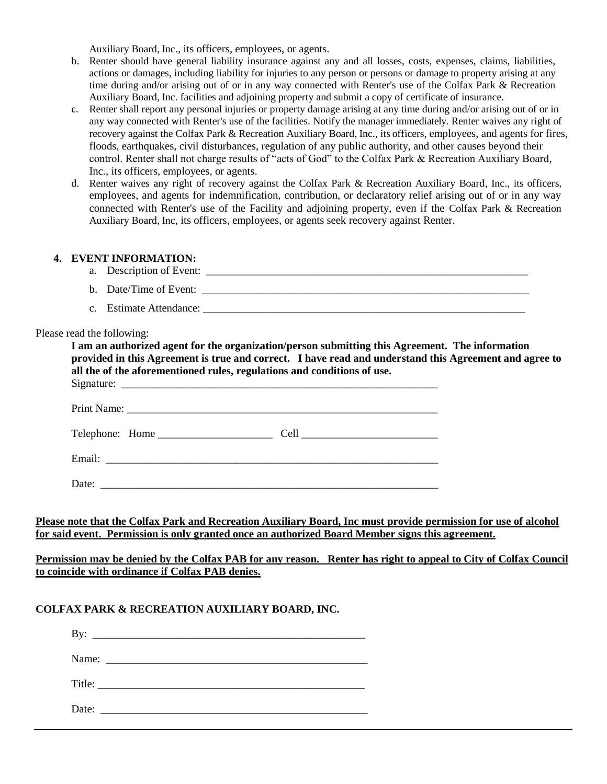Auxiliary Board, Inc., its officers, employees, or agents.

- b. Renter should have general liability insurance against any and all losses, costs, expenses, claims, liabilities, actions or damages, including liability for injuries to any person or persons or damage to property arising at any time during and/or arising out of or in any way connected with Renter's use of the Colfax Park & Recreation Auxiliary Board, Inc. facilities and adjoining property and submit a copy of certificate of insurance.
- c. Renter shall report any personal injuries or property damage arising at any time during and/or arising out of or in any way connected with Renter's use of the facilities. Notify the manager immediately. Renter waives any right of recovery against the Colfax Park & Recreation Auxiliary Board, Inc., its officers, employees, and agents for fires, floods, earthquakes, civil disturbances, regulation of any public authority, and other causes beyond their control. Renter shall not charge results of "acts of God" to the Colfax Park & Recreation Auxiliary Board, Inc., its officers, employees, or agents.
- d. Renter waives any right of recovery against the Colfax Park & Recreation Auxiliary Board, Inc., its officers, employees, and agents for indemnification, contribution, or declaratory relief arising out of or in any way connected with Renter's use of the Facility and adjoining property, even if the Colfax Park & Recreation Auxiliary Board, Inc, its officers, employees, or agents seek recovery against Renter.

#### **4. EVENT INFORMATION:**

- a. Description of Event: \_\_\_\_\_\_\_\_\_\_\_\_\_\_\_\_\_\_\_\_\_\_\_\_\_\_\_\_\_\_\_\_\_\_\_\_\_\_\_\_\_\_\_\_\_\_\_\_\_\_\_\_\_\_\_\_\_\_\_
- b. Date/Time of Event: \_\_\_\_\_\_\_\_\_\_\_\_\_\_\_\_\_\_\_\_\_\_\_\_\_\_\_\_\_\_\_\_\_\_\_\_\_\_\_\_\_\_\_\_\_\_\_\_\_\_\_\_\_\_\_\_\_\_\_\_
- c. Estimate Attendance: \_\_\_\_\_\_\_\_\_\_\_\_\_\_\_\_\_\_\_\_\_\_\_\_\_\_\_\_\_\_\_\_\_\_\_\_\_\_\_\_\_\_\_\_\_\_\_\_\_\_\_\_\_\_\_\_\_\_\_

#### Please read the following:

**I am an authorized agent for the organization/person submitting this Agreement. The information provided in this Agreement is true and correct. I have read and understand this Agreement and agree to all the of the aforementioned rules, regulations and conditions of use.**   $S$ *ignature:* 

| Telephone: Home                                      |  |  |  |  |
|------------------------------------------------------|--|--|--|--|
| Email:<br><u> 1980 - Johann Stone, mars et al. (</u> |  |  |  |  |
| Date:                                                |  |  |  |  |

### **Please note that the Colfax Park and Recreation Auxiliary Board, Inc must provide permission for use of alcohol for said event. Permission is only granted once an authorized Board Member signs this agreement.**

**Permission may be denied by the Colfax PAB for any reason. Renter has right to appeal to City of Colfax Council to coincide with ordinance if Colfax PAB denies.** 

## **COLFAX PARK & RECREATION AUXILIARY BOARD, INC.**

By:  $\Box$ Name: Title: Date: